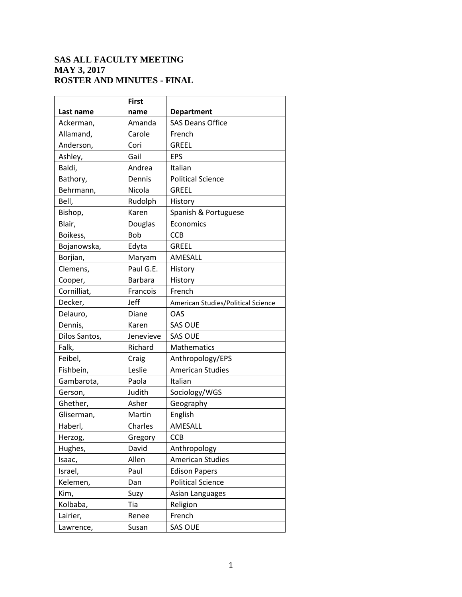## **SAS ALL FACULTY MEETING MAY 3, 2017 ROSTER AND MINUTES - FINAL**

|               | <b>First</b>   |                                    |
|---------------|----------------|------------------------------------|
| Last name     | name           | <b>Department</b>                  |
| Ackerman,     | Amanda         | <b>SAS Deans Office</b>            |
| Allamand,     | Carole         | French                             |
| Anderson,     | Cori           | <b>GREEL</b>                       |
| Ashley,       | Gail           | <b>EPS</b>                         |
| Baldi,        | Andrea         | Italian                            |
| Bathory,      | Dennis         | <b>Political Science</b>           |
| Behrmann,     | Nicola         | <b>GREEL</b>                       |
| Bell,         | Rudolph        | History                            |
| Bishop,       | Karen          | Spanish & Portuguese               |
| Blair,        | Douglas        | Economics                          |
| Boikess,      | Bob            | <b>CCB</b>                         |
| Bojanowska,   | Edyta          | <b>GREEL</b>                       |
| Borjian,      | Maryam         | AMESALL                            |
| Clemens,      | Paul G.E.      | History                            |
| Cooper,       | <b>Barbara</b> | History                            |
| Cornilliat,   | Francois       | French                             |
| Decker,       | Jeff           | American Studies/Political Science |
| Delauro,      | <b>Diane</b>   | OAS                                |
| Dennis,       | Karen          | <b>SAS OUE</b>                     |
| Dilos Santos, | Jenevieve      | <b>SAS OUE</b>                     |
| Falk,         | Richard        | Mathematics                        |
| Feibel,       | Craig          | Anthropology/EPS                   |
| Fishbein,     | Leslie         | <b>American Studies</b>            |
| Gambarota,    | Paola          | Italian                            |
| Gerson,       | Judith         | Sociology/WGS                      |
| Ghether,      | Asher          | Geography                          |
| Gliserman,    | Martin         | English                            |
| Haberl,       | Charles        | AMESALL                            |
| Herzog,       | Gregory        | <b>CCB</b>                         |
| Hughes,       | David          | Anthropology                       |
| Isaac,        | Allen          | <b>American Studies</b>            |
| Israel,       | Paul           | <b>Edison Papers</b>               |
| Kelemen,      | Dan            | <b>Political Science</b>           |
| Kim,          | Suzy           | Asian Languages                    |
| Kolbaba,      | Tia            | Religion                           |
| Lairier,      | Renee          | French                             |
| Lawrence,     | Susan          | <b>SAS OUE</b>                     |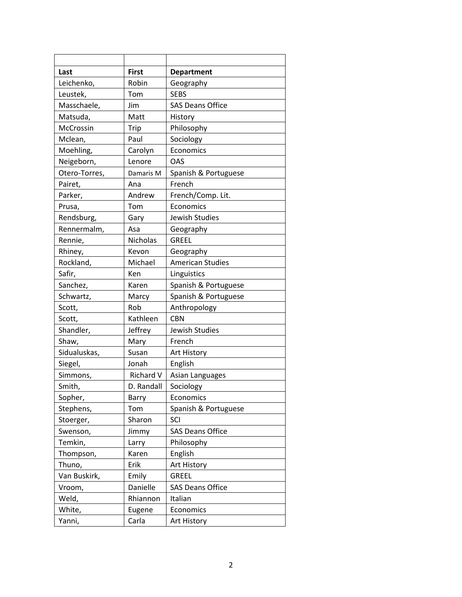| Last          | <b>First</b>     | <b>Department</b>       |
|---------------|------------------|-------------------------|
| Leichenko,    | Robin            | Geography               |
| Leustek,      | Tom              | <b>SEBS</b>             |
| Masschaele,   | Jim              | <b>SAS Deans Office</b> |
| Matsuda,      | Matt             | History                 |
| McCrossin     | Trip             | Philosophy              |
| Mclean,       | Paul             | Sociology               |
| Moehling,     | Carolyn          | Economics               |
| Neigeborn,    | Lenore           | OAS                     |
| Otero-Torres, | Damaris M        | Spanish & Portuguese    |
| Pairet,       | Ana              | French                  |
| Parker,       | Andrew           | French/Comp. Lit.       |
| Prusa,        | Tom              | Economics               |
| Rendsburg,    | Gary             | Jewish Studies          |
| Rennermalm,   | Asa              | Geography               |
| Rennie,       | Nicholas         | GREEL                   |
| Rhiney,       | Kevon            | Geography               |
| Rockland,     | Michael          | <b>American Studies</b> |
| Safir,        | Ken              | Linguistics             |
| Sanchez,      | Karen            | Spanish & Portuguese    |
| Schwartz,     | Marcy            | Spanish & Portuguese    |
| Scott,        | Rob              | Anthropology            |
| Scott,        | Kathleen         | <b>CBN</b>              |
| Shandler,     | Jeffrey          | Jewish Studies          |
| Shaw,         | Mary             | French                  |
| Sidualuskas,  | Susan            | Art History             |
| Siegel,       | Jonah            | English                 |
| Simmons,      | <b>Richard V</b> | Asian Languages         |
| Smith,        | D. Randall       | Sociology               |
| Sopher,       | Barry            | Economics               |
| Stephens,     | Tom              | Spanish & Portuguese    |
| Stoerger,     | Sharon           | SCI                     |
| Swenson,      | Jimmy            | <b>SAS Deans Office</b> |
| Temkin,       | Larry            | Philosophy              |
| Thompson,     | Karen            | English                 |
| Thuno,        | Erik             | Art History             |
| Van Buskirk,  | Emily            | <b>GREEL</b>            |
| Vroom,        | Danielle         | <b>SAS Deans Office</b> |
| Weld,         | Rhiannon         | Italian                 |
| White,        | Eugene           | Economics               |
| Yanni,        | Carla            | Art History             |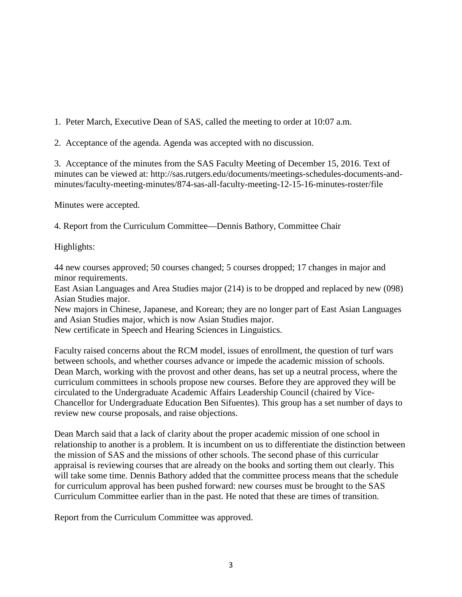1. Peter March, Executive Dean of SAS, called the meeting to order at 10:07 a.m.

2. Acceptance of the agenda. Agenda was accepted with no discussion.

3. Acceptance of the minutes from the SAS Faculty Meeting of December 15, 2016. Text of minutes can be viewed at: http://sas.rutgers.edu/documents/meetings-schedules-documents-andminutes/faculty-meeting-minutes/874-sas-all-faculty-meeting-12-15-16-minutes-roster/file

Minutes were accepted.

4. Report from the Curriculum Committee—Dennis Bathory, Committee Chair

Highlights:

44 new courses approved; 50 courses changed; 5 courses dropped; 17 changes in major and minor requirements.

East Asian Languages and Area Studies major (214) is to be dropped and replaced by new (098) Asian Studies major.

New majors in Chinese, Japanese, and Korean; they are no longer part of East Asian Languages and Asian Studies major, which is now Asian Studies major.

New certificate in Speech and Hearing Sciences in Linguistics.

Faculty raised concerns about the RCM model, issues of enrollment, the question of turf wars between schools, and whether courses advance or impede the academic mission of schools. Dean March, working with the provost and other deans, has set up a neutral process, where the curriculum committees in schools propose new courses. Before they are approved they will be circulated to the Undergraduate Academic Affairs Leadership Council (chaired by Vice-Chancellor for Undergraduate Education Ben Sifuentes). This group has a set number of days to review new course proposals, and raise objections.

Dean March said that a lack of clarity about the proper academic mission of one school in relationship to another is a problem. It is incumbent on us to differentiate the distinction between the mission of SAS and the missions of other schools. The second phase of this curricular appraisal is reviewing courses that are already on the books and sorting them out clearly. This will take some time. Dennis Bathory added that the committee process means that the schedule for curriculum approval has been pushed forward: new courses must be brought to the SAS Curriculum Committee earlier than in the past. He noted that these are times of transition.

Report from the Curriculum Committee was approved.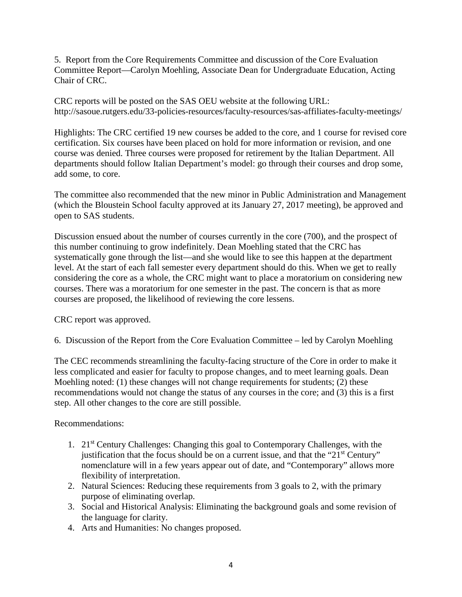5. Report from the Core Requirements Committee and discussion of the Core Evaluation Committee Report—Carolyn Moehling, Associate Dean for Undergraduate Education, Acting Chair of CRC.

CRC reports will be posted on the SAS OEU website at the following URL: http://sasoue.rutgers.edu/33-policies-resources/faculty-resources/sas-affiliates-faculty-meetings/

Highlights: The CRC certified 19 new courses be added to the core, and 1 course for revised core certification. Six courses have been placed on hold for more information or revision, and one course was denied. Three courses were proposed for retirement by the Italian Department. All departments should follow Italian Department's model: go through their courses and drop some, add some, to core.

The committee also recommended that the new minor in Public Administration and Management (which the Bloustein School faculty approved at its January 27, 2017 meeting), be approved and open to SAS students.

Discussion ensued about the number of courses currently in the core (700), and the prospect of this number continuing to grow indefinitely. Dean Moehling stated that the CRC has systematically gone through the list—and she would like to see this happen at the department level. At the start of each fall semester every department should do this. When we get to really considering the core as a whole, the CRC might want to place a moratorium on considering new courses. There was a moratorium for one semester in the past. The concern is that as more courses are proposed, the likelihood of reviewing the core lessens.

CRC report was approved.

6. Discussion of the Report from the Core Evaluation Committee – led by Carolyn Moehling

The CEC recommends streamlining the faculty-facing structure of the Core in order to make it less complicated and easier for faculty to propose changes, and to meet learning goals. Dean Moehling noted: (1) these changes will not change requirements for students; (2) these recommendations would not change the status of any courses in the core; and (3) this is a first step. All other changes to the core are still possible.

## Recommendations:

- 1. 21st Century Challenges: Changing this goal to Contemporary Challenges, with the justification that the focus should be on a current issue, and that the " $21<sup>st</sup>$  Century" nomenclature will in a few years appear out of date, and "Contemporary" allows more flexibility of interpretation.
- 2. Natural Sciences: Reducing these requirements from 3 goals to 2, with the primary purpose of eliminating overlap.
- 3. Social and Historical Analysis: Eliminating the background goals and some revision of the language for clarity.
- 4. Arts and Humanities: No changes proposed.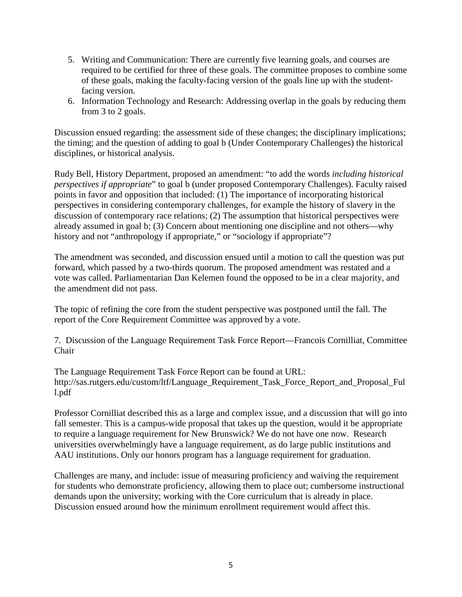- 5. Writing and Communication: There are currently five learning goals, and courses are required to be certified for three of these goals. The committee proposes to combine some of these goals, making the faculty-facing version of the goals line up with the studentfacing version.
- 6. Information Technology and Research: Addressing overlap in the goals by reducing them from 3 to 2 goals.

Discussion ensued regarding: the assessment side of these changes; the disciplinary implications; the timing; and the question of adding to goal b (Under Contemporary Challenges) the historical disciplines, or historical analysis.

Rudy Bell, History Department, proposed an amendment: "to add the words *including historical perspectives if appropriate*" to goal b (under proposed Contemporary Challenges). Faculty raised points in favor and opposition that included: (1) The importance of incorporating historical perspectives in considering contemporary challenges, for example the history of slavery in the discussion of contemporary race relations; (2) The assumption that historical perspectives were already assumed in goal b; (3) Concern about mentioning one discipline and not others—why history and not "anthropology if appropriate," or "sociology if appropriate"?

The amendment was seconded, and discussion ensued until a motion to call the question was put forward, which passed by a two-thirds quorum. The proposed amendment was restated and a vote was called. Parliamentarian Dan Kelemen found the opposed to be in a clear majority, and the amendment did not pass.

The topic of refining the core from the student perspective was postponed until the fall. The report of the Core Requirement Committee was approved by a vote.

7. Discussion of the Language Requirement Task Force Report—Francois Cornilliat, Committee Chair

The Language Requirement Task Force Report can be found at URL: http://sas.rutgers.edu/custom/ltf/Language\_Requirement\_Task\_Force\_Report\_and\_Proposal\_Ful l.pdf

Professor Cornilliat described this as a large and complex issue, and a discussion that will go into fall semester. This is a campus-wide proposal that takes up the question, would it be appropriate to require a language requirement for New Brunswick? We do not have one now. Research universities overwhelmingly have a language requirement, as do large public institutions and AAU institutions. Only our honors program has a language requirement for graduation.

Challenges are many, and include: issue of measuring proficiency and waiving the requirement for students who demonstrate proficiency, allowing them to place out; cumbersome instructional demands upon the university; working with the Core curriculum that is already in place. Discussion ensued around how the minimum enrollment requirement would affect this.